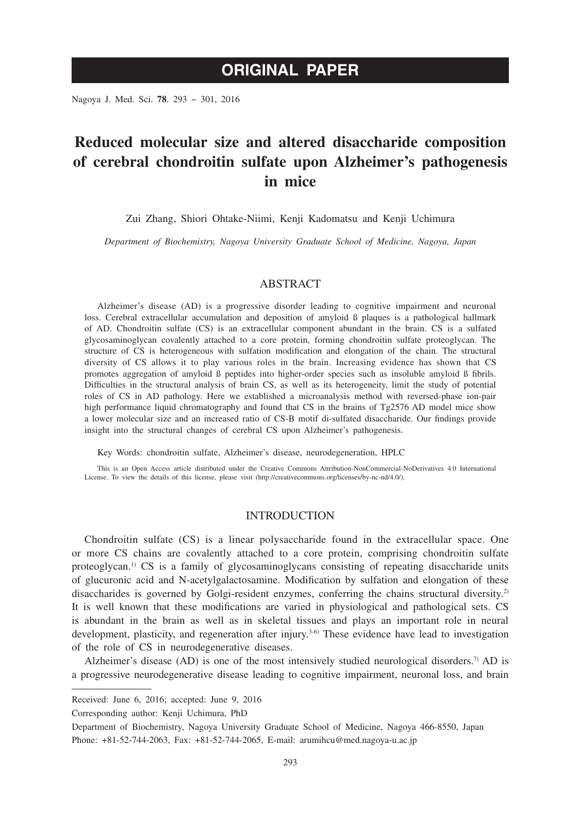# **ORIGINAL PAPER**

Nagoya J. Med. Sci. **78**. 293 ~ 301, 2016

# **Reduced molecular size and altered disaccharide composition of cerebral chondroitin sulfate upon Alzheimer's pathogenesis in mice**

Zui Zhang, Shiori Ohtake-Niimi, Kenji Kadomatsu and Kenji Uchimura

*Department of Biochemistry, Nagoya University Graduate School of Medicine, Nagoya, Japan*

## ABSTRACT

Alzheimer's disease (AD) is a progressive disorder leading to cognitive impairment and neuronal loss. Cerebral extracellular accumulation and deposition of amyloid ß plaques is a pathological hallmark of AD. Chondroitin sulfate (CS) is an extracellular component abundant in the brain. CS is a sulfated glycosaminoglycan covalently attached to a core protein, forming chondroitin sulfate proteoglycan. The structure of CS is heterogeneous with sulfation modification and elongation of the chain. The structural diversity of CS allows it to play various roles in the brain. Increasing evidence has shown that CS promotes aggregation of amyloid ß peptides into higher-order species such as insoluble amyloid ß fibrils. Difficulties in the structural analysis of brain CS, as well as its heterogeneity, limit the study of potential roles of CS in AD pathology. Here we established a microanalysis method with reversed-phase ion-pair high performance liquid chromatography and found that CS in the brains of Tg2576 AD model mice show a lower molecular size and an increased ratio of CS-B motif di-sulfated disaccharide. Our findings provide insight into the structural changes of cerebral CS upon Alzheimer's pathogenesis.

Key Words: chondroitin sulfate, Alzheimer's disease, neurodegeneration, HPLC

This is an Open Access article distributed under the Creative Commons Attribution-NonCommercial-NoDerivatives 4.0 International License. To view the details of this license, please visit (http://creativecommons.org/licenses/by-nc-nd/4.0/).

## INTRODUCTION

Chondroitin sulfate (CS) is a linear polysaccharide found in the extracellular space. One or more CS chains are covalently attached to a core protein, comprising chondroitin sulfate proteoglycan.<sup>1)</sup> CS is a family of glycosaminoglycans consisting of repeating disaccharide units of glucuronic acid and N-acetylgalactosamine. Modification by sulfation and elongation of these disaccharides is governed by Golgi-resident enzymes, conferring the chains structural diversity.<sup>2)</sup> It is well known that these modifications are varied in physiological and pathological sets. CS is abundant in the brain as well as in skeletal tissues and plays an important role in neural development, plasticity, and regeneration after injury.<sup>3-6)</sup> These evidence have lead to investigation of the role of CS in neurodegenerative diseases.

Alzheimer's disease (AD) is one of the most intensively studied neurological disorders.<sup>7)</sup> AD is a progressive neurodegenerative disease leading to cognitive impairment, neuronal loss, and brain

Corresponding author: Kenji Uchimura, PhD

Received: June 6, 2016; accepted: June 9, 2016

Department of Biochemistry, Nagoya University Graduate School of Medicine, Nagoya 466-8550, Japan Phone: +81-52-744-2063, Fax: +81-52-744-2065, E-mail: arumihcu@med.nagoya-u.ac.jp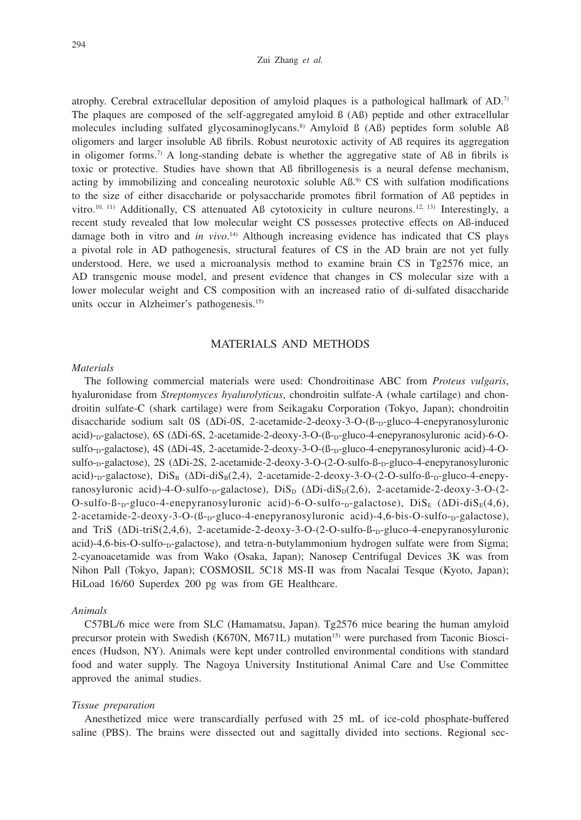#### Zui Zhang *et al.*

atrophy. Cerebral extracellular deposition of amyloid plaques is a pathological hallmark of AD.7) The plaques are composed of the self-aggregated amyloid ß (Aß) peptide and other extracellular molecules including sulfated glycosaminoglycans.<sup>8)</sup> Amyloid  $\beta$  (A $\beta$ ) peptides form soluble A $\beta$ oligomers and larger insoluble Aß fibrils. Robust neurotoxic activity of Aß requires its aggregation in oligomer forms.7) A long-standing debate is whether the aggregative state of Aß in fibrils is toxic or protective. Studies have shown that Aß fibrillogenesis is a neural defense mechanism, acting by immobilizing and concealing neurotoxic soluble Aß.9) CS with sulfation modifications to the size of either disaccharide or polysaccharide promotes fibril formation of Aß peptides in vitro.<sup>10, 11)</sup> Additionally, CS attenuated Aß cytotoxicity in culture neurons.<sup>12, 13)</sup> Interestingly, a recent study revealed that low molecular weight CS possesses protective effects on Aß-induced damage both in vitro and *in vivo*. 14) Although increasing evidence has indicated that CS plays a pivotal role in AD pathogenesis, structural features of CS in the AD brain are not yet fully understood. Here, we used a microanalysis method to examine brain CS in Tg2576 mice, an AD transgenic mouse model, and present evidence that changes in CS molecular size with a lower molecular weight and CS composition with an increased ratio of di-sulfated disaccharide units occur in Alzheimer's pathogenesis.<sup>15)</sup>

## MATERIALS AND METHODS

## *Materials*

The following commercial materials were used: Chondroitinase ABC from *Proteus vulgaris*, hyaluronidase from *Streptomyces hyalurolyticus*, chondroitin sulfate-A (whale cartilage) and chondroitin sulfate-C (shark cartilage) were from Seikagaku Corporation (Tokyo, Japan); chondroitin disaccharide sodium salt 0S (ΔDi-0S, 2-acetamide-2-deoxy-3-O-(β-<sub>D</sub>-gluco-4-enepyranosyluronic acid)-<sub>D</sub>-galactose), 6S (ΔDi-6S, 2-acetamide-2-deoxy-3-O-(β-<sub>D</sub>-gluco-4-enepyranosyluronic acid)-6-Osulfo-<sub>D</sub>-galactose), 4S (ΔDi-4S, 2-acetamide-2-deoxy-3-O-(β-<sub>D</sub>-gluco-4-enepyranosyluronic acid)-4-Osulfo-<sub>D</sub>-galactose), 2S (ΔDi-2S, 2-acetamide-2-deoxy-3-O-(2-O-sulfo-β-<sub>D</sub>-gluco-4-enepyranosyluronic acid)-<sub>D</sub>-galactose), DiS<sub>B</sub> (ΔDi-diS<sub>B</sub>(2,4), 2-acetamide-2-deoxy-3-O-(2-O-sulfo-β-<sub>D</sub>-gluco-4-enepyranosyluronic acid)-4-O-sulfo-<sub>D</sub>-galactose),  $Dis_D (\Delta Di-diS_D(2,6))$ , 2-acetamide-2-deoxy-3-O-(2- $O-sulfo-B-p-gluco-4-enepyranosyluronic acid)-6-O-sulfo-p-galactose)$ ,  $DiS_E(\Delta Di-diS_E(4,6),$  $2$ -acetamide-2-deoxy-3-O- $(\beta_{\text{D}}$ -gluco-4-enepyranosyluronic acid)-4,6-bis-O-sulfo- $\beta$ -galactose), and TriS (ΔDi-triS(2,4,6), 2-acetamide-2-deoxy-3-O-(2-O-sulfo-β-<sub>D</sub>-gluco-4-enepyranosyluronic acid)-4,6-bis-O-sulfo-<sub>D</sub>-galactose), and tetra-n-butylammonium hydrogen sulfate were from Sigma; 2-cyanoacetamide was from Wako (Osaka, Japan); Nanosep Centrifugal Devices 3K was from Nihon Pall (Tokyo, Japan); COSMOSIL 5C18 MS-II was from Nacalai Tesque (Kyoto, Japan); HiLoad 16/60 Superdex 200 pg was from GE Healthcare.

### *Animals*

C57BL/6 mice were from SLC (Hamamatsu, Japan). Tg2576 mice bearing the human amyloid precursor protein with Swedish (K670N, M671L) mutation<sup>15)</sup> were purchased from Taconic Biosciences (Hudson, NY). Animals were kept under controlled environmental conditions with standard food and water supply. The Nagoya University Institutional Animal Care and Use Committee approved the animal studies.

#### *Tissue preparation*

Anesthetized mice were transcardially perfused with 25 mL of ice-cold phosphate-buffered saline (PBS). The brains were dissected out and sagittally divided into sections. Regional sec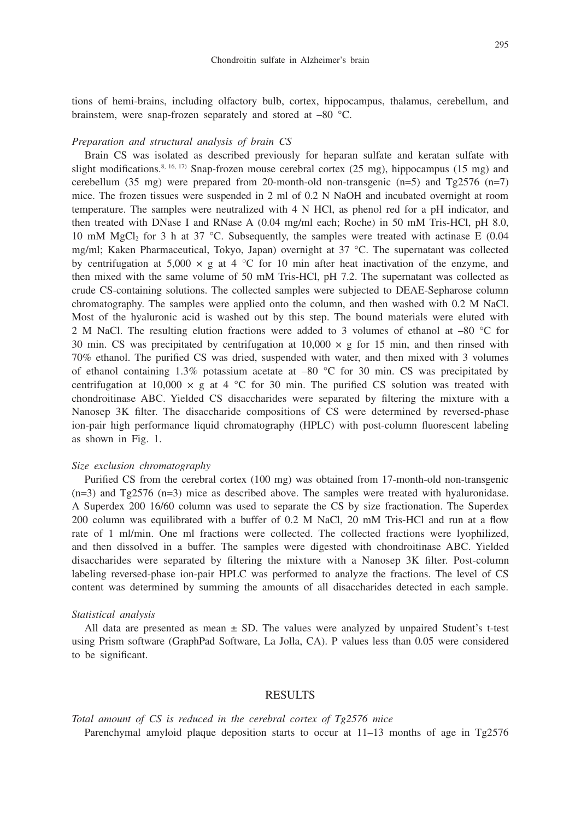tions of hemi-brains, including olfactory bulb, cortex, hippocampus, thalamus, cerebellum, and brainstem, were snap-frozen separately and stored at –80 °C.

#### *Preparation and structural analysis of brain CS*

Brain CS was isolated as described previously for heparan sulfate and keratan sulfate with slight modifications.<sup>8, 16, 17)</sup> Snap-frozen mouse cerebral cortex (25 mg), hippocampus (15 mg) and cerebellum (35 mg) were prepared from 20-month-old non-transgenic  $(n=5)$  and Tg2576  $(n=7)$ mice. The frozen tissues were suspended in 2 ml of 0.2 N NaOH and incubated overnight at room temperature. The samples were neutralized with 4 N HCl, as phenol red for a pH indicator, and then treated with DNase I and RNase A (0.04 mg/ml each; Roche) in 50 mM Tris-HCl, pH 8.0, 10 mM MgCl<sub>2</sub> for 3 h at 37 °C. Subsequently, the samples were treated with actinase E (0.04 mg/ml; Kaken Pharmaceutical, Tokyo, Japan) overnight at 37 °C. The supernatant was collected by centrifugation at 5,000  $\times$  g at 4  $\degree$ C for 10 min after heat inactivation of the enzyme, and then mixed with the same volume of 50 mM Tris-HCl, pH 7.2. The supernatant was collected as crude CS-containing solutions. The collected samples were subjected to DEAE-Sepharose column chromatography. The samples were applied onto the column, and then washed with 0.2 M NaCl. Most of the hyaluronic acid is washed out by this step. The bound materials were eluted with 2 M NaCl. The resulting elution fractions were added to 3 volumes of ethanol at –80 °C for 30 min. CS was precipitated by centrifugation at  $10,000 \times g$  for 15 min, and then rinsed with 70% ethanol. The purified CS was dried, suspended with water, and then mixed with 3 volumes of ethanol containing 1.3% potassium acetate at  $-80$  °C for 30 min. CS was precipitated by centrifugation at 10,000  $\times$  g at 4 °C for 30 min. The purified CS solution was treated with chondroitinase ABC. Yielded CS disaccharides were separated by filtering the mixture with a Nanosep 3K filter. The disaccharide compositions of CS were determined by reversed-phase ion-pair high performance liquid chromatography (HPLC) with post-column fluorescent labeling as shown in Fig. 1.

## *Size exclusion chromatography*

Purified CS from the cerebral cortex (100 mg) was obtained from 17-month-old non-transgenic  $(n=3)$  and Tg2576  $(n=3)$  mice as described above. The samples were treated with hyaluronidase. A Superdex 200 16/60 column was used to separate the CS by size fractionation. The Superdex 200 column was equilibrated with a buffer of 0.2 M NaCl, 20 mM Tris-HCl and run at a flow rate of 1 ml/min. One ml fractions were collected. The collected fractions were lyophilized, and then dissolved in a buffer. The samples were digested with chondroitinase ABC. Yielded disaccharides were separated by filtering the mixture with a Nanosep 3K filter. Post-column labeling reversed-phase ion-pair HPLC was performed to analyze the fractions. The level of CS content was determined by summing the amounts of all disaccharides detected in each sample.

#### *Statistical analysis*

All data are presented as mean  $\pm$  SD. The values were analyzed by unpaired Student's t-test using Prism software (GraphPad Software, La Jolla, CA). P values less than 0.05 were considered to be significant.

## RESULTS

*Total amount of CS is reduced in the cerebral cortex of Tg2576 mice* Parenchymal amyloid plaque deposition starts to occur at  $11-13$  months of age in Tg2576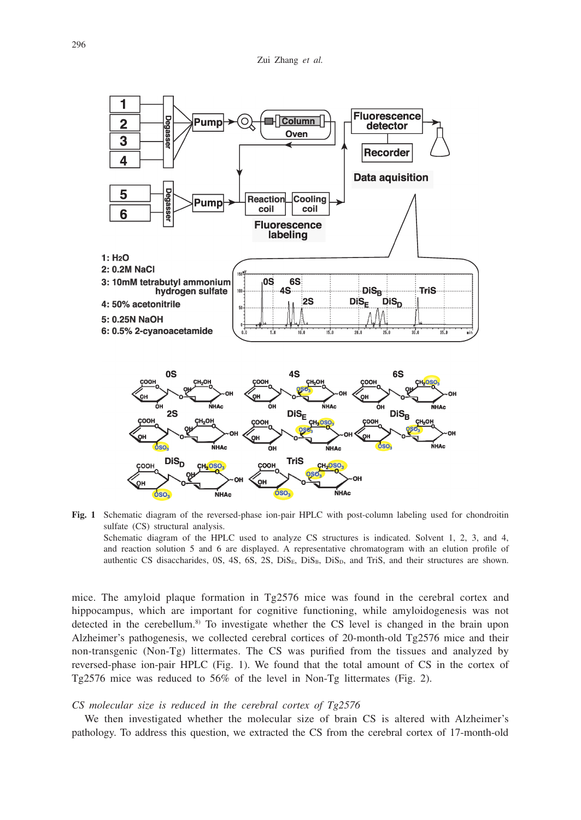

**Fig. 1** Schematic diagram of the reversed-phase ion-pair HPLC with post-column labeling used for chondroitin sulfate (CS) structural analysis.

Schematic diagram of the HPLC used to analyze CS structures is indicated. Solvent 1, 2, 3, and 4, and reaction solution 5 and 6 are displayed. A representative chromatogram with an elution profile of authentic CS disaccharides,  $0S$ ,  $4S$ ,  $6S$ ,  $2S$ ,  $DiS<sub>B</sub>$ ,  $DiS<sub>B</sub>$ ,  $DiS<sub>D</sub>$ , and TriS, and their structures are shown.

mice. The amyloid plaque formation in Tg2576 mice was found in the cerebral cortex and hippocampus, which are important for cognitive functioning, while amyloidogenesis was not detected in the cerebellum.<sup>8)</sup> To investigate whether the CS level is changed in the brain upon Alzheimer's pathogenesis, we collected cerebral cortices of 20-month-old Tg2576 mice and their non-transgenic (Non-Tg) littermates. The CS was purified from the tissues and analyzed by reversed-phase ion-pair HPLC (Fig. 1). We found that the total amount of CS in the cortex of Tg2576 mice was reduced to 56% of the level in Non-Tg littermates (Fig. 2).

#### *CS molecular size is reduced in the cerebral cortex of Tg2576*

We then investigated whether the molecular size of brain CS is altered with Alzheimer's pathology. To address this question, we extracted the CS from the cerebral cortex of 17-month-old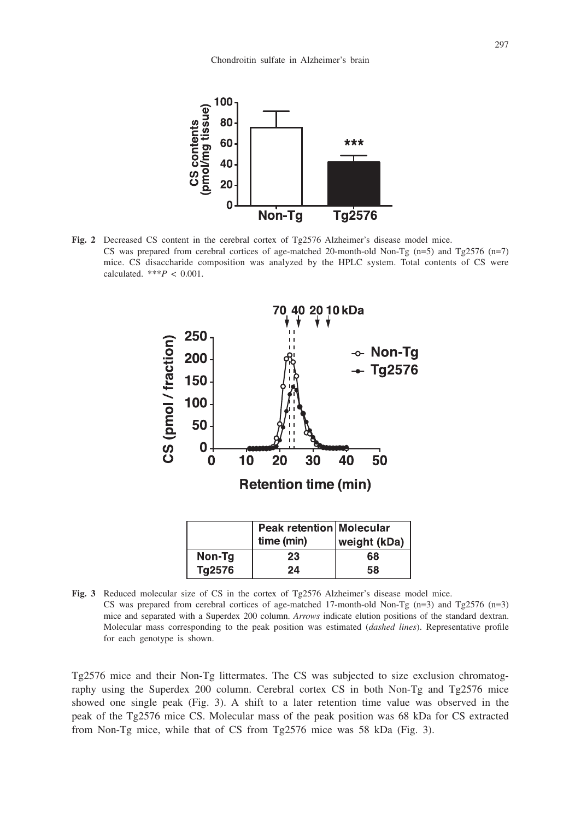

**Fig. 2** Decreased CS content in the cerebral cortex of Tg2576 Alzheimer's disease model mice. CS was prepared from cerebral cortices of age-matched 20-month-old Non-Tg  $(n=5)$  and Tg2576  $(n=7)$ mice. CS disaccharide composition was analyzed by the HPLC system. Total contents of CS were calculated. \*\*\* $P < 0.001$ .



**Fig. 3** Reduced molecular size of CS in the cortex of Tg2576 Alzheimer's disease model mice. CS was prepared from cerebral cortices of age-matched 17-month-old Non-Tg  $(n=3)$  and Tg2576  $(n=3)$ mice and separated with a Superdex 200 column. *Arrows* indicate elution positions of the standard dextran. Molecular mass corresponding to the peak position was estimated (*dashed lines*). Representative profile for each genotype is shown.

Tg2576 mice and their Non-Tg littermates. The CS was subjected to size exclusion chromatography using the Superdex 200 column. Cerebral cortex CS in both Non-Tg and Tg2576 mice showed one single peak (Fig. 3). A shift to a later retention time value was observed in the peak of the Tg2576 mice CS. Molecular mass of the peak position was 68 kDa for CS extracted from Non-Tg mice, while that of CS from Tg2576 mice was 58 kDa (Fig. 3).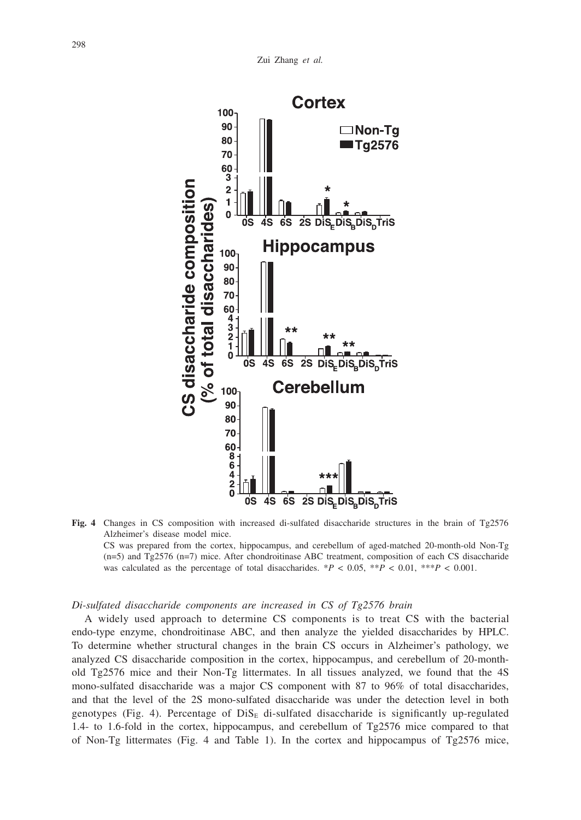

**Fig. 4** Changes in CS composition with increased di-sulfated disaccharide structures in the brain of Tg2576 Alzheimer's disease model mice.

CS was prepared from the cortex, hippocampus, and cerebellum of aged-matched 20-month-old Non-Tg (n=5) and Tg2576 (n=7) mice. After chondroitinase ABC treatment, composition of each CS disaccharide was calculated as the percentage of total disaccharides.  $*P < 0.05$ ,  $*P < 0.01$ ,  $*P < 0.001$ .

#### *Di-sulfated disaccharide components are increased in CS of Tg2576 brain*

A widely used approach to determine CS components is to treat CS with the bacterial endo-type enzyme, chondroitinase ABC, and then analyze the yielded disaccharides by HPLC. To determine whether structural changes in the brain CS occurs in Alzheimer's pathology, we analyzed CS disaccharide composition in the cortex, hippocampus, and cerebellum of 20-monthold Tg2576 mice and their Non-Tg littermates. In all tissues analyzed, we found that the 4S mono-sulfated disaccharide was a major CS component with 87 to 96% of total disaccharides, and that the level of the 2S mono-sulfated disaccharide was under the detection level in both genotypes (Fig. 4). Percentage of  $Dis_{E}$  di-sulfated disaccharide is significantly up-regulated 1.4- to 1.6-fold in the cortex, hippocampus, and cerebellum of Tg2576 mice compared to that of Non-Tg littermates (Fig. 4 and Table 1). In the cortex and hippocampus of Tg2576 mice,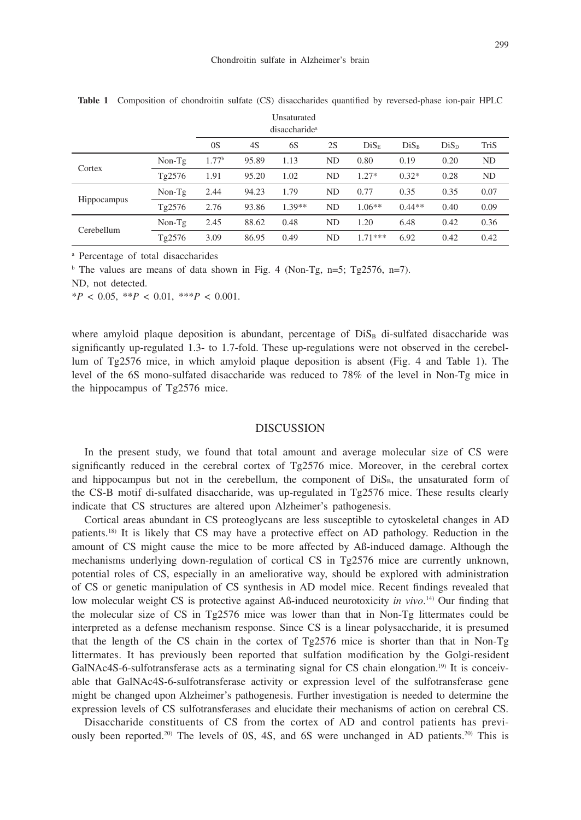|             | disaccharide <sup>a</sup> |                   |       |          |    |                  |                  |                  |      |
|-------------|---------------------------|-------------------|-------|----------|----|------------------|------------------|------------------|------|
|             |                           | 0S                | 4S    | 6S       | 2S | Dis <sub>E</sub> | Dis <sub>B</sub> | Dis <sub>D</sub> | TriS |
| Cortex      | $Non-Tg$                  | 1.77 <sup>b</sup> | 95.89 | 1.13     | ND | 0.80             | 0.19             | 0.20             | ND   |
|             | Tg2576                    | 1.91              | 95.20 | 1.02     | ND | $1.27*$          | $0.32*$          | 0.28             | ND   |
| Hippocampus | $Non-Tg$                  | 2.44              | 94.23 | 1.79     | ND | 0.77             | 0.35             | 0.35             | 0.07 |
|             | Tg2576                    | 2.76              | 93.86 | $1.39**$ | ND | $1.06**$         | $0.44**$         | 0.40             | 0.09 |
| Cerebellum  | $Non-Tg$                  | 2.45              | 88.62 | 0.48     | ND | 1.20             | 6.48             | 0.42             | 0.36 |
|             | Tg2576                    | 3.09              | 86.95 | 0.49     | ND | $1.71***$        | 6.92             | 0.42             | 0.42 |

**Table 1** Composition of chondroitin sulfate (CS) disaccharides quantified by reversed-phase ion-pair HPLC

a Percentage of total disaccharides

<sup>b</sup> The values are means of data shown in Fig. 4 (Non-Tg, n=5; Tg2576, n=7).

ND, not detected.

\**P* < 0.05, \*\**P* < 0.01, \*\*\**P* < 0.001.

where amyloid plaque deposition is abundant, percentage of  $Dis<sub>B</sub>$  di-sulfated disaccharide was significantly up-regulated 1.3- to 1.7-fold. These up-regulations were not observed in the cerebellum of Tg2576 mice, in which amyloid plaque deposition is absent (Fig. 4 and Table 1). The level of the 6S mono-sulfated disaccharide was reduced to 78% of the level in Non-Tg mice in the hippocampus of Tg2576 mice.

#### DISCUSSION

In the present study, we found that total amount and average molecular size of CS were significantly reduced in the cerebral cortex of Tg2576 mice. Moreover, in the cerebral cortex and hippocampus but not in the cerebellum, the component of  $Dis<sub>B</sub>$ , the unsaturated form of the CS-B motif di-sulfated disaccharide, was up-regulated in Tg2576 mice. These results clearly indicate that CS structures are altered upon Alzheimer's pathogenesis.

Cortical areas abundant in CS proteoglycans are less susceptible to cytoskeletal changes in AD patients.18) It is likely that CS may have a protective effect on AD pathology. Reduction in the amount of CS might cause the mice to be more affected by Aß-induced damage. Although the mechanisms underlying down-regulation of cortical CS in Tg2576 mice are currently unknown, potential roles of CS, especially in an ameliorative way, should be explored with administration of CS or genetic manipulation of CS synthesis in AD model mice. Recent findings revealed that low molecular weight CS is protective against Aß-induced neurotoxicity *in vivo*.<sup>14</sup> Our finding that the molecular size of CS in Tg2576 mice was lower than that in Non-Tg littermates could be interpreted as a defense mechanism response. Since CS is a linear polysaccharide, it is presumed that the length of the CS chain in the cortex of Tg2576 mice is shorter than that in Non-Tg littermates. It has previously been reported that sulfation modification by the Golgi-resident GalNAc4S-6-sulfotransferase acts as a terminating signal for CS chain elongation.<sup>19)</sup> It is conceivable that GalNAc4S-6-sulfotransferase activity or expression level of the sulfotransferase gene might be changed upon Alzheimer's pathogenesis. Further investigation is needed to determine the expression levels of CS sulfotransferases and elucidate their mechanisms of action on cerebral CS.

Disaccharide constituents of CS from the cortex of AD and control patients has previously been reported.<sup>20)</sup> The levels of 0S, 4S, and 6S were unchanged in AD patients.<sup>20)</sup> This is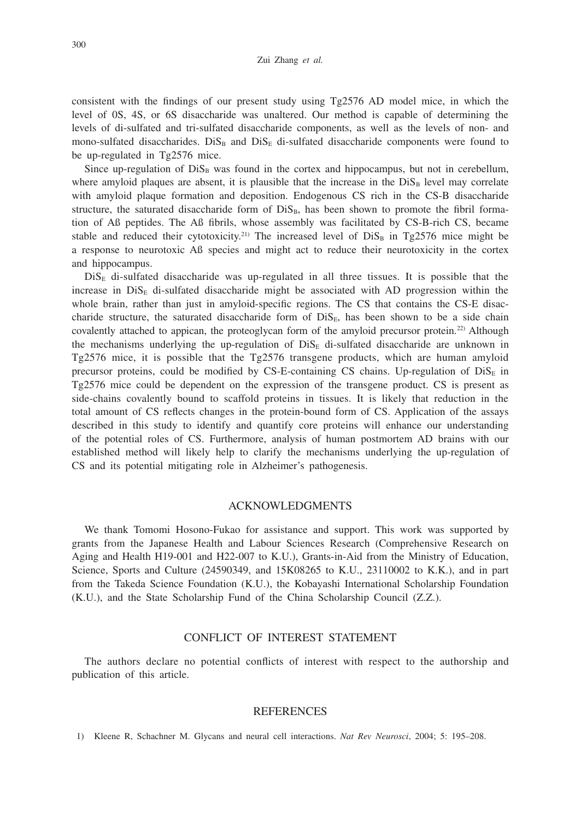consistent with the findings of our present study using Tg2576 AD model mice, in which the level of 0S, 4S, or 6S disaccharide was unaltered. Our method is capable of determining the levels of di-sulfated and tri-sulfated disaccharide components, as well as the levels of non- and mono-sulfated disaccharides.  $Dis<sub>B</sub>$  and  $Dis<sub>E</sub>$  di-sulfated disaccharide components were found to be up-regulated in Tg2576 mice.

Since up-regulation of  $Dis<sub>B</sub>$  was found in the cortex and hippocampus, but not in cerebellum, where amyloid plaques are absent, it is plausible that the increase in the  $Dis<sub>B</sub>$  level may correlate with amyloid plaque formation and deposition. Endogenous CS rich in the CS-B disaccharide structure, the saturated disaccharide form of  $Dis<sub>B</sub>$ , has been shown to promote the fibril formation of Aß peptides. The Aß fibrils, whose assembly was facilitated by CS-B-rich CS, became stable and reduced their cytotoxicity.<sup>21)</sup> The increased level of  $Dis<sub>B</sub>$  in Tg2576 mice might be a response to neurotoxic Aß species and might act to reduce their neurotoxicity in the cortex and hippocampus.

 $Dis<sub>E</sub>$  di-sulfated disaccharide was up-regulated in all three tissues. It is possible that the increase in  $Dis<sub>E</sub>$  di-sulfated disaccharide might be associated with AD progression within the whole brain, rather than just in amyloid-specific regions. The CS that contains the CS-E disaccharide structure, the saturated disaccharide form of  $Dis_{E}$ , has been shown to be a side chain covalently attached to appican, the proteoglycan form of the amyloid precursor protein.<sup>22)</sup> Although the mechanisms underlying the up-regulation of  $\text{Dis}_{E}$  di-sulfated disaccharide are unknown in Tg2576 mice, it is possible that the Tg2576 transgene products, which are human amyloid precursor proteins, could be modified by CS-E-containing CS chains. Up-regulation of  $\text{Dis}_{E}$  in Tg2576 mice could be dependent on the expression of the transgene product. CS is present as side-chains covalently bound to scaffold proteins in tissues. It is likely that reduction in the total amount of CS reflects changes in the protein-bound form of CS. Application of the assays described in this study to identify and quantify core proteins will enhance our understanding of the potential roles of CS. Furthermore, analysis of human postmortem AD brains with our established method will likely help to clarify the mechanisms underlying the up-regulation of CS and its potential mitigating role in Alzheimer's pathogenesis.

## ACKNOWLEDGMENTS

We thank Tomomi Hosono-Fukao for assistance and support. This work was supported by grants from the Japanese Health and Labour Sciences Research (Comprehensive Research on Aging and Health H19-001 and H22-007 to K.U.), Grants-in-Aid from the Ministry of Education, Science, Sports and Culture (24590349, and 15K08265 to K.U., 23110002 to K.K.), and in part from the Takeda Science Foundation (K.U.), the Kobayashi International Scholarship Foundation (K.U.), and the State Scholarship Fund of the China Scholarship Council (Z.Z.).

## CONFLICT OF INTEREST STATEMENT

The authors declare no potential conflicts of interest with respect to the authorship and publication of this article.

## REFERENCES

1) Kleene R, Schachner M. Glycans and neural cell interactions. *Nat Rev Neurosci*, 2004; 5: 195–208.